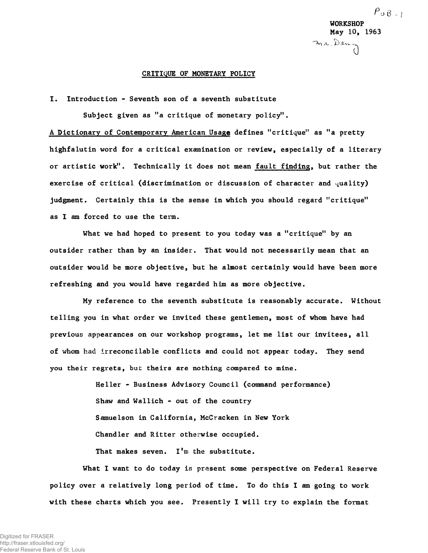$P_0 B_{-1}$ **WORKSHOP May 10, 1963** mr. Deny<br>O

## **CRITIQUE OF MONETARY POLICY**

**I. Introduction - Seventh son of a seventh substitute**

**Subject given as "a critique of monetary policy".**

**A Dictionary of Contemporary American Usage defines "critique" as "a pretty highfalutin word for a critical examination or review, especially of a literary or artistic work". Technically it does not mean fault finding, but rather the exercise of critical (discrimination or discussion of character and quality) judgment. Certainly this is the sense in which you should regard "critique" as I am forced to use the term.**

**What we had hoped to present to you today was a "critique" by an outsider rather than by an insider. That would not necessarily mean that an outsider would be more objective, but he almost certainly would have been more refreshing and you would have regarded him as more objective.**

**My reference to the seventh substitute is reasonably accurate. Without telling you in what order we invited these gentlemen, most of whom have had previous appearances on our workshop programs, let me list our invitees, all of whom** had **irreconcilable conflicts and could not appear today. They send you their regrets, but theirs are nothing compared to mine.**

> **Heller - Business Advisory Council (command performance) Shaw and Wallich - out of the country Samuelson in California, McCracken in New York Chandler and Ritter otherwise occupied. That makes seven. I'm the substitute.**

**What I want to do today is present some perspective on Federal Reserve policy over a relatively long period of time. To do this I am going to work with these charts which you see. Presently I will try to explain the format**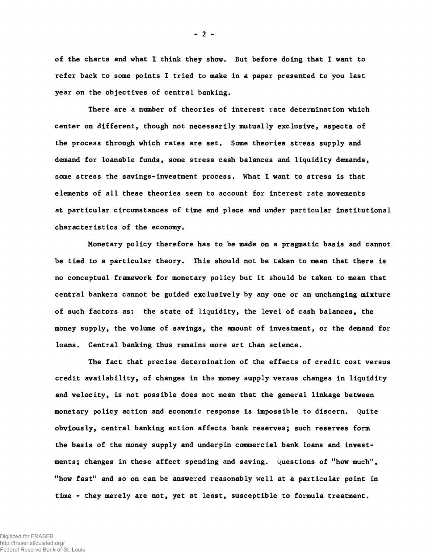**of the charts and vhat I think they show. But before doing that I want to refer back to some points I tried to make in a paper presented to you last year on the objectives of central banking.**

**There are a number of theories of interest rate determination which center on different, though not necessarily mutually exclusive, aspects of the process through which rates are set. Some theories stress supply and demand for loanable funds, some stress cash balances and liquidity demands, some stress the savings-investment process. What I want to stress is that elements of all these theories seem to account for interest rate movements at particular circumstances of time and place and under particular institutional characteristics of the economy.**

**Monetary policy therefore has to be made on a pragmatic basis and cannot be tied to a particular theory. This should not be taken to mean that there is no conceptual framework for monetary policy but it should be taken to mean that central bankers cannot be guided exclusively by any one or an unchanging mixture of such factors as: the state of liquidity, the level of cash balances, the money supply, the volume of savings, the amount of investment, or the demand for loans. Central banking thus remains more art than science.**

**The fact that precise determination of the effects of credit cost versus credit availability, of changes in the money supply versus changes in liquidity and velocity, is not possible does not mean that the general linkage between monetary policy action and economic response is impossible to discern. Quite obviously, central banking action affects bank reserves; such reserves form the basis of the money supply and underpin commercial bank loans and invest\* ments; changes in these affect spending and saving. Questions of "how much", "how fast" and so on can be answered reasonably well at a particular point in time - they merely are not, yet at least, susceptible to formula treatment.**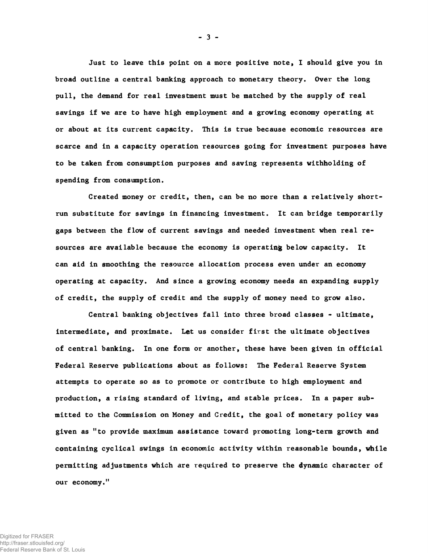**Just to leave this point on a more positive note, I should give you in broad outline a central banking approach to monetary theory. Over the long pull, the demand for real investment must be matched by the supply of real savings if we are to have high employment and a growing economy operating at or about at its current capacity. This is true because economic resources are scarce and in a capacity operation resources going for investment purposes have to be taken from consumption purposes and saving represents withholding of spending from consumption.**

**Created money or credit, then, can be no more than a relatively shortrun substitute for savings in financing investment. It can bridge temporarily gaps between the flow of current savings and needed investment when real resources are available because the economy is operating below capacity. It can aid in smoothing the resource allocation process even under an economy operating at capacity. And since a growing economy needs an expanding supply of credit, the supply of credit and the supply of money need to grow also.**

**Central banking objectives fall into three broad classes - ultimate, intermediate, and proximate. Let us consider first the ultimate objectives of central banking. In one form or another, these have been given in official Federal Reserve publications about as follows: The Federal Reserve System attempts to operate so as to promote or contribute to high employment and production, a rising standard of living, and stable prices. In a paper submitted to the Commission on Money and Credit, the goal of monetary policy was given as "to provide maximum assistance toward promoting long-term growth and containing cyclical swings in economic activity within reasonable bounds, while permitting adjustments which are required to preserve the dynamic character of our economy."**

Digitized for FRASER http://fraser.stlouisfed.org/ Federal Reserve Bank of St. Louis **-** 3 **-**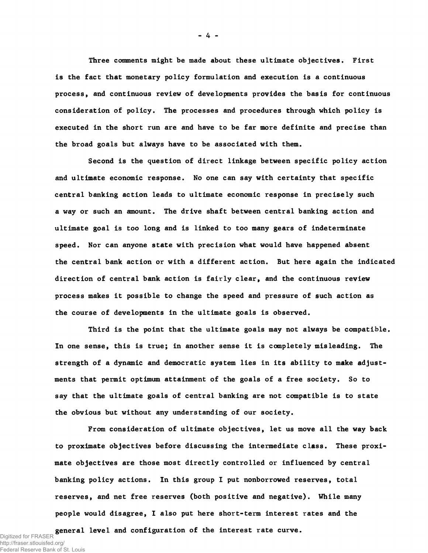**Three comments might be made about these ultimate objectives. First is the fact that monetary policy formulation and execution is a continuous process, and continuous review of developments provides the basis for continuous consideration of policy. The processes and procedures through which policy is executed in the short run are and have to be far more definite and precise than the broad goals but always have to be associated with them.**

**Second is the question of direct linkage between specific policy action and ultimate economic response. No one can say with certainty that specific central banking action leads to ultimate economic response in precisely such a way or such an amount. The drive shaft between central banking action and ultimate goal is too long and is linked to too many gears of indeterminate speed. Nor can anyone state with precision what would have happened absent the central bank action or with a different action. But here again the indicated direction of central bank action is fairly clear, and the continuous review process makes it possible to change the speed and pressure of such action as the course of developments in the ultimate goals is observed.**

**Third is the point that the ultimate goals may not always be compatible. In one sense, this is true; in another sense it is completely misleading. The strength of a dynamic and democratic system lies in its ability to make adjustments that permit optimum attainment of the goals of a free society. So to say that the ultimate goals of central banking are not compatible is to state the obvious but without any understanding of our society.**

**From consideration of ultimate objectives, let us move all the way back to proximate objectives before discussing the intermediate class. These proximate objectives are those most directly controlled or influenced by central banking policy actions. In this group I put nonborrowed reserves, total reserves, and net free reserves (both positive and negative). While many people would disagree, I also put here short-term interest rates and the**

**general level and configuration of the interest rate curve.** Digitized for FRASER http://fraser.stlouisfed.org/ Federal Reserve Bank of St. Louis

**-** 4 **-**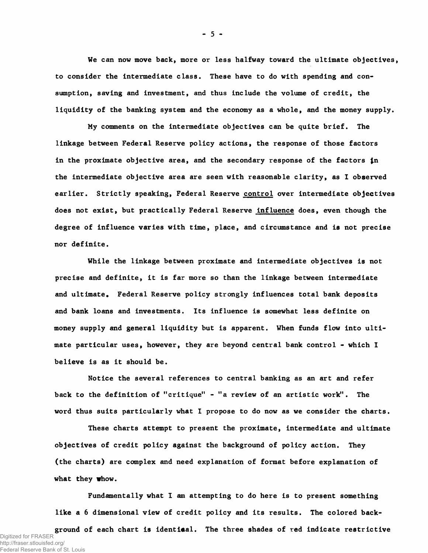**We can now move back, more or less halfway toward the ultimate objectives, to consider the intermediate class. These have to do with spending and consumption, saving and investment, and thus include the volume of credit, the liquidity of the banking system and the economy as a whole, and the money supply.**

**My comments on the intermediate objectives can be quite brief. The linkage between Federal Reserve policy actions, the response of those factors** in the proximate objective area, and the secondary response of the factors in **the intermediate objective area are seen with reasonable clarity, as I observed earlier. Strictly speaking, Federal Reserve control over intermediate objectives does not exist, but practically Federal Reserve influence does, even though the degree of influence varies with time, place, and circumstance and is not precise nor definite.**

**While the linkage between proximate and intermediate objectives is not precise and definite, it is far more so than the linkage between intermediate and ultimate. Federal Reserve policy strongly influences total bank deposits and bank loans and investments. Its influence is somewhat less definite on money supply and general liquidity but is apparent. When funds flow into ultimate particular uses, however, they are beyond central bank control - which I believe is as it should be.**

**Notice the several references to central banking as an art and refer back to the definition of "critique" - "a review of an artistic work". The word thus suits particularly what I propose to do now as we consider the charts.**

**These charts attempt to present the proximate, intermediate and ultimate objectives of credit policy against the background of policy action. They (the charts) are complex and need explanation of format before explanation of what they vhow.**

**Fundamentally what I am attempting to do here is to present something like a 6 dimensional view of credit policy and its results. The colored back**ground of each chart is identical. The three shades of red indicate restrictive Digitized for FRASER http://fraser.stlouisfed.org/ Federal Reserve Bank of St. Louis

**-** 5 **-**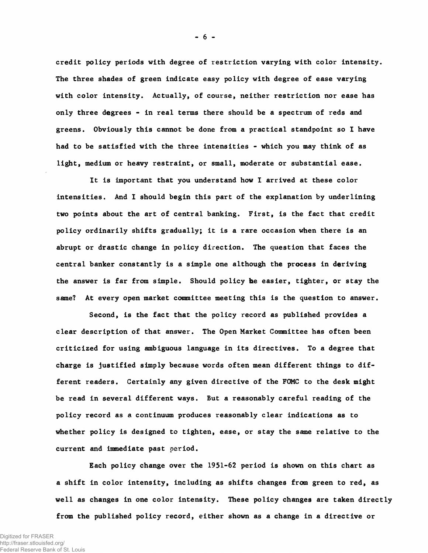**credit policy periods with degree of restriction varying with color intensity. The three shades of green indicate easy policy with degree of ease varying with color intensity. Actually, of course, neither restriction nor ease has only three degrees - in real terms there should be a spectrum of reds and greens. Obviously this cannot be done from a practical standpoint so I have had to be satisfied with the three intensities - which you may think of as light, medium or heavy restraint, or small, moderate or substantial ease.**

**It is important that you understand how I arrived at these color intensities. And I should begin this part of the explanation by underlining two points about the art of central banking. First, is the fact that credit policy ordinarily shifts gradually; it is a rare occasion when there is an abrupt or drastic change in policy direction. The question that faces the central banker constantly is a simple one although the process in deriving the answer is far from simple. Should policy he easier, tighter, or stay the same? At every open market committee meeting this is the question to answer.**

**Second, is the fact that the policy record as published provides a clear description of that answer. The Open Market Committee has often been criticized for using ambiguous language in its directives. To a degree that charge is justified simply because words often mean different things to different readers. Certainly any given directive of the FGMC to the desk might be read in several different ways. But a reasonably careful reading of the policy record as a continuum produces reasonably clear indications as to whether policy is designed to tighten, ease, or stay the same relative to the current and immediate past period.**

**Each policy change over the 1951-62 period is shown on this chart as a shift in color intensity, including as shifts changes from green to red, as well as changes in one color intensity. These policy changes are taken directly from the published policy record, either shown as a change in a directive or**

- 6 -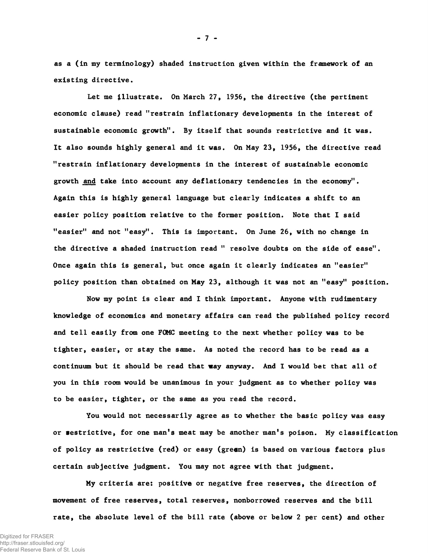**as a (in my terminology) shaded instruction given within the framework of an existing directive.**

**Let me illustrate. On March 27, 1956, the directive (the pertinent economic clause) read "restrain inflationary developments in the interest of sustainable economic growth". By itself that sounds restrictive and it was. It also sounds highly general and it was. On May 23, 1956, the directive read "restrain inflationary developments in the interest of sustainable economic growth and take into account any deflationary tendencies in the economy". Again this is highly general language but clearly indicates a shift to an easier policy position relative to the former position. Note that I said "easier" and not "easy". This is important. On June 26, with no change in the directive a shaded instruction read " resolve doubts on the side of ease". Once again this is general, but once again it clearly indicates an "easier" policy position than obtained on May 23, although it was not an "easy" position.**

**Now my point is clear and I think important. Anyone with rudimentary knowledge of economics and monetary affairs can read the published policy record and tell easily from one FOMC meeting to the next whether policy was to be tighter, easier, or stay the same. As noted the record has to be read as a continuum but it should be read that way anyway. And I would bet that all of you in this room would be unanimous in your judgment as to whether policy was to be easier, tighter, or the same as you read the record.**

**You would not necessarily agree as to whether the basic policy was easy or aestrictive, for one man's meat may be another man's poison. My classification of policy as restrictive (red) or easy (grean) is based on various factors plus certain subjective judgment. You may not agree with that judgment.**

**My criteria are: positive or negative free reserves, the direction of movement of free reserves, total reserves, nonborrowed reserves and the bill rate, the absolute level of the bill rate (above or below 2 per cent) and other**

**-** 7 **-**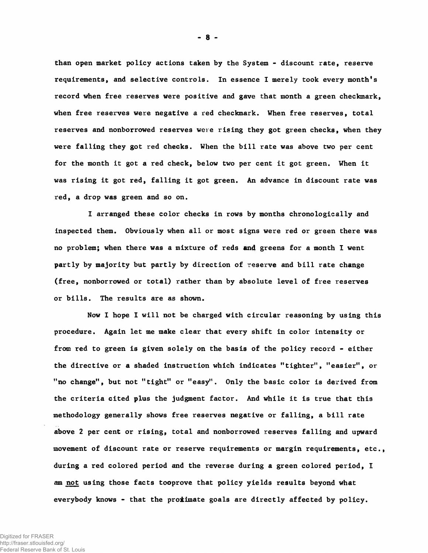**than open market policy actions taken by the System - discount rate, reserve requirements, and selective controls. In essence I merely took every month's record when free reserves were positive and gave that month a green checkmark, when free reserves were negative a red checkmark. When free reserves, total reserves and nonborrowed reserves were rising they got green checks, when they were falling they got red checks. When the bill rate was above two per cent for the month it got a red check, below two per cent it got green. When it was rising it got red, falling it got green. An advance in discount rate was red, a drop was green and so on.**

**I arranged these color checks in rows by months chronologically and inspected them. Obviously when all or most signs were red or green there was no problem; when there was a mixture of reds end greens for a month I went partly by majority but partly by direction of reserve and bill rate change (free, nonborrowed or total) rather than by absolute level of free reserves or bills. The results are as shown.**

**Now I hope I will not be charged with circular reasoning by using this procedure. Again let me make clear that every shift in color intensity or from red to green is given solely on the basis of the policy record - either the directive or a shaded instruction which indicates "tighter", "easier", or "no change", but not "tight" or "easy". Only the basic color is derived from the criteria cited plus the judgment factor. And while it is true that thi3 methodology generally shows free reserves negative or falling, a bill rate above 2 per cent or rising, total and nonborrowed reserves falling and upward movement of discount rate or reserve requirements or margin requirements, etc., during a red colored period and the reverse during a green colored period, I am not using those facts tooprove that policy yields results beyond what** everybody knows - that the proximate goals are directly affected by policy.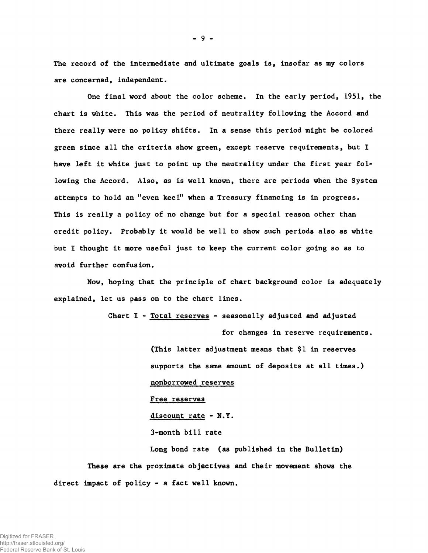**The record of the intermediate and ultimate goals is, insofar as my colors are concerned, independent.**

**One final word about the color scheme. In the early period, 1951, the chart is white. This was the period of neutrality following the Accord and there really were no policy shifts. In a sense this period might be colored green since all the criteria show green, except reserve requirements, but I have left it white just to point up the neutrality under the first year following the Accord. Also, as is well known, there are periods when the System attempts to hold an "even keel" when a Treasury financing is in progress. This is really a policy of no change but for a special reason other than credit policy. Probably it would be well to show such periods also as white but I thought it more useful just to keep the current color going so as to avoid further confusion.**

**Now, hoping that the principle of chart background color is adequately explained, let us pass on to the chart lines.**

> **Chart I - Total reserves - seasonally adjusted and adjusted for changes in reserve requirements. (This latter adjustment means that \$1 in reserves supports the same amount of deposits at all times.) nonborrowed reserves Free reserves discount rate - N.Y. 3-month bill rate Long bond rate (as published in the Bulletin) These are the proximate objectives and their movement shows the**

**direct impact of policy - a fact well known.**